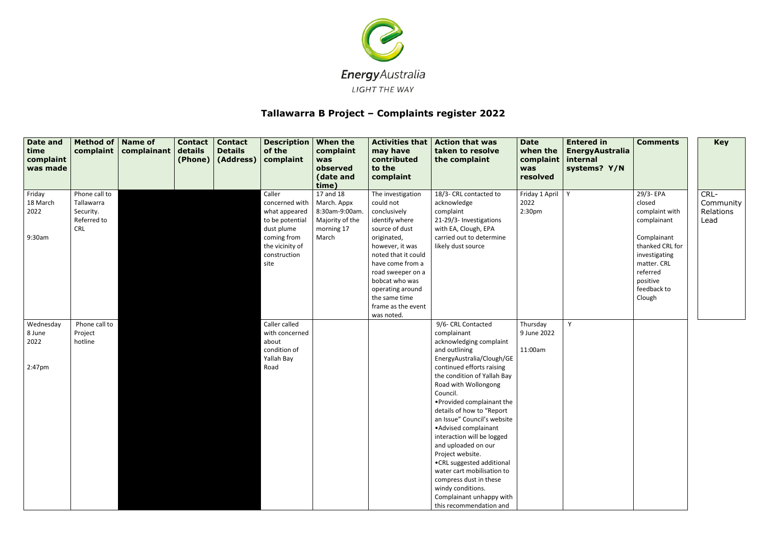

## **Tallawarra B Project – Complaints register 2022**

| <b>Date and</b><br>time<br>complaint<br>was made | Method of   Name of<br>complaint | complainant | <b>Contact</b><br>details<br>(Phone) | <b>Contact</b><br><b>Details</b><br>(Address) | Description<br>of the<br>complaint | <b>When the</b><br>complaint<br>was<br>observed<br>(date and<br>time) | <b>Activities that</b><br>may have<br>contributed<br>to the<br>complaint | <b>Action that was</b><br>taken to resolve<br>the complaint | <b>Date</b><br>when the<br>complaint<br>was<br>resolved | <b>Entered in</b><br><b>EnergyAustralia</b><br>internal<br>systems? Y/N | <b>Comments</b>              | <b>Key</b>        |
|--------------------------------------------------|----------------------------------|-------------|--------------------------------------|-----------------------------------------------|------------------------------------|-----------------------------------------------------------------------|--------------------------------------------------------------------------|-------------------------------------------------------------|---------------------------------------------------------|-------------------------------------------------------------------------|------------------------------|-------------------|
| Friday<br>18 March                               | Phone call to<br>Tallawarra      |             |                                      |                                               | Caller<br>concerned with           | 17 and 18<br>March. Appx                                              | The investigation<br>could not                                           | 18/3- CRL contacted to<br>acknowledge                       | Friday 1 April<br>2022                                  | Y                                                                       | 29/3- EPA<br>closed          | CRL-<br>Community |
| 2022                                             | Security.                        |             |                                      |                                               | what appeared                      | 8:30am-9:00am                                                         | conclusively                                                             | complaint                                                   | 2:30 <sub>pm</sub>                                      |                                                                         | complaint with               | Relations         |
|                                                  | Referred to<br><b>CRL</b>        |             |                                      |                                               | to be potential<br>dust plume      | Majority of the<br>morning 17                                         | identify where<br>source of dust                                         | 21-29/3- Investigations<br>with EA, Clough, EPA             |                                                         |                                                                         | complainant                  | Lead              |
| 9:30am                                           |                                  |             |                                      |                                               | coming from                        | March                                                                 | originated,                                                              | carried out to determine                                    |                                                         |                                                                         | Complainant                  |                   |
|                                                  |                                  |             |                                      |                                               | the vicinity of                    |                                                                       | however, it was<br>noted that it could                                   | likely dust source                                          |                                                         |                                                                         | thanked CRL for              |                   |
|                                                  |                                  |             |                                      |                                               | construction<br>site               |                                                                       | have come from a                                                         |                                                             |                                                         |                                                                         | investigating<br>matter. CRL |                   |
|                                                  |                                  |             |                                      |                                               |                                    |                                                                       | road sweeper on a                                                        |                                                             |                                                         |                                                                         | referred                     |                   |
|                                                  |                                  |             |                                      |                                               |                                    |                                                                       | bobcat who was<br>operating around                                       |                                                             |                                                         |                                                                         | positive<br>feedback to      |                   |
|                                                  |                                  |             |                                      |                                               |                                    |                                                                       | the same time                                                            |                                                             |                                                         |                                                                         | Clough                       |                   |
|                                                  |                                  |             |                                      |                                               |                                    |                                                                       | frame as the event<br>was noted.                                         |                                                             |                                                         |                                                                         |                              |                   |
| Wednesday                                        | Phone call to                    |             |                                      |                                               | Caller called                      |                                                                       |                                                                          | 9/6- CRL Contacted                                          | Thursday                                                | Y                                                                       |                              |                   |
| 8 June                                           | Project                          |             |                                      |                                               | with concerned                     |                                                                       |                                                                          | complainant                                                 | 9 June 2022                                             |                                                                         |                              |                   |
| 2022                                             | hotline                          |             |                                      |                                               | about<br>condition of              |                                                                       |                                                                          | acknowledging complaint<br>and outlining                    | 11:00am                                                 |                                                                         |                              |                   |
|                                                  |                                  |             |                                      |                                               | Yallah Bay                         |                                                                       |                                                                          | EnergyAustralia/Clough/GE                                   |                                                         |                                                                         |                              |                   |
| $2:47$ pm                                        |                                  |             |                                      |                                               | Road                               |                                                                       |                                                                          | continued efforts raising                                   |                                                         |                                                                         |                              |                   |
|                                                  |                                  |             |                                      |                                               |                                    |                                                                       |                                                                          | the condition of Yallah Bay<br>Road with Wollongong         |                                                         |                                                                         |                              |                   |
|                                                  |                                  |             |                                      |                                               |                                    |                                                                       |                                                                          | Council.                                                    |                                                         |                                                                         |                              |                   |
|                                                  |                                  |             |                                      |                                               |                                    |                                                                       |                                                                          | • Provided complainant the                                  |                                                         |                                                                         |                              |                   |
|                                                  |                                  |             |                                      |                                               |                                    |                                                                       |                                                                          | details of how to "Report<br>an Issue" Council's website    |                                                         |                                                                         |                              |                   |
|                                                  |                                  |             |                                      |                                               |                                    |                                                                       |                                                                          | • Advised complainant                                       |                                                         |                                                                         |                              |                   |
|                                                  |                                  |             |                                      |                                               |                                    |                                                                       |                                                                          | interaction will be logged                                  |                                                         |                                                                         |                              |                   |
|                                                  |                                  |             |                                      |                                               |                                    |                                                                       |                                                                          | and uploaded on our<br>Project website.                     |                                                         |                                                                         |                              |                   |
|                                                  |                                  |             |                                      |                                               |                                    |                                                                       |                                                                          | .CRL suggested additional                                   |                                                         |                                                                         |                              |                   |
|                                                  |                                  |             |                                      |                                               |                                    |                                                                       |                                                                          | water cart mobilisation to                                  |                                                         |                                                                         |                              |                   |
|                                                  |                                  |             |                                      |                                               |                                    |                                                                       |                                                                          | compress dust in these<br>windy conditions.                 |                                                         |                                                                         |                              |                   |
|                                                  |                                  |             |                                      |                                               |                                    |                                                                       |                                                                          | Complainant unhappy with                                    |                                                         |                                                                         |                              |                   |
|                                                  |                                  |             |                                      |                                               |                                    |                                                                       |                                                                          | this recommendation and                                     |                                                         |                                                                         |                              |                   |